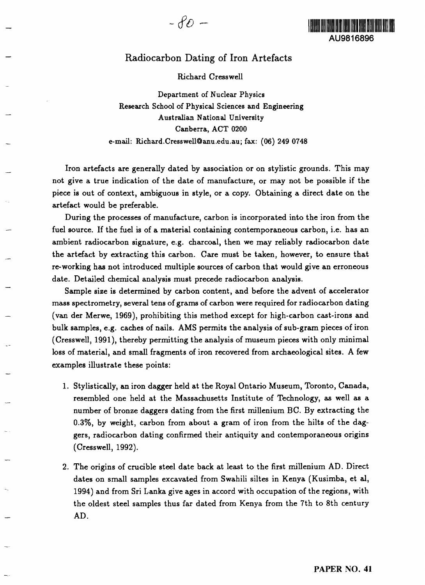## Radiocarbon Dating of Iron Artefacts

## Richard Cresswell

Department of Nuclear Physics Research School of Physical Sciences and Engineering Australian National University Canberra, ACT 0200 e-mail: Richard.Cresswell@anu.edu.au; fax: (06) 249 0748

Iron artefacts are generally dated by association or on stylistic grounds. This may not give a true indication of the date of manufacture, or may not be possible if the piece is out of context, ambiguous in style, or a copy. Obtaining a direct date on the artefact would be preferable.

During the processes of manufacture, carbon is incorporated into the iron from the fuel source. If the fuel is of a material containing contemporaneous carbon, i.e. has an ambient radiocarbon signature, e.g. charcoal, then we may reliably radiocarbon date the artefact by extracting this carbon. Care must be taken, however, to ensure that re-working has not introduced multiple sources of carbon that would give an erroneous date. Detailed chemical analysis must precede radiocarbon analysis.

Sample size is determined by carbon content, and before the advent of accelerator mass spectrometry, several tens of grams of carbon were required for radiocarbon dating (van der Merwe, 1969), prohibiting this method except for high-carbon cast-irons and bulk samples, e.g. caches of nails. AMS permits the analysis of sub-gram pieces of iron (Cresswell, 1991), thereby permitting the analysis of museum pieces with only minimal loss of material, and small fragments of iron recovered from archaeological sites. A few examples illustrate these points:

- 1. Stylistically, an iron dagger held at the Royal Ontario Museum, Toronto, Canada, resembled one held at the Massachusetts Institute of Technology, as well as a number of bronze daggers dating from the first millenium BC. By extracting the 0.3%, by weight, carbon from about a gram of iron from the hilts of the daggers, radiocarbon dating confirmed their antiquity and contemporaneous origins (Cresswell, 1992).
- 2. The origins of crucible steel date back at least to the first millenium AD. Direct dates on small samples excavated from Swahili siltes in Kenya (Kusimba, et al, 1994) and from Sri Lanka give ages in accord with occupation of the regions, with the oldest steel samples thus far dated from Kenya from the 7th to 8th century AD.